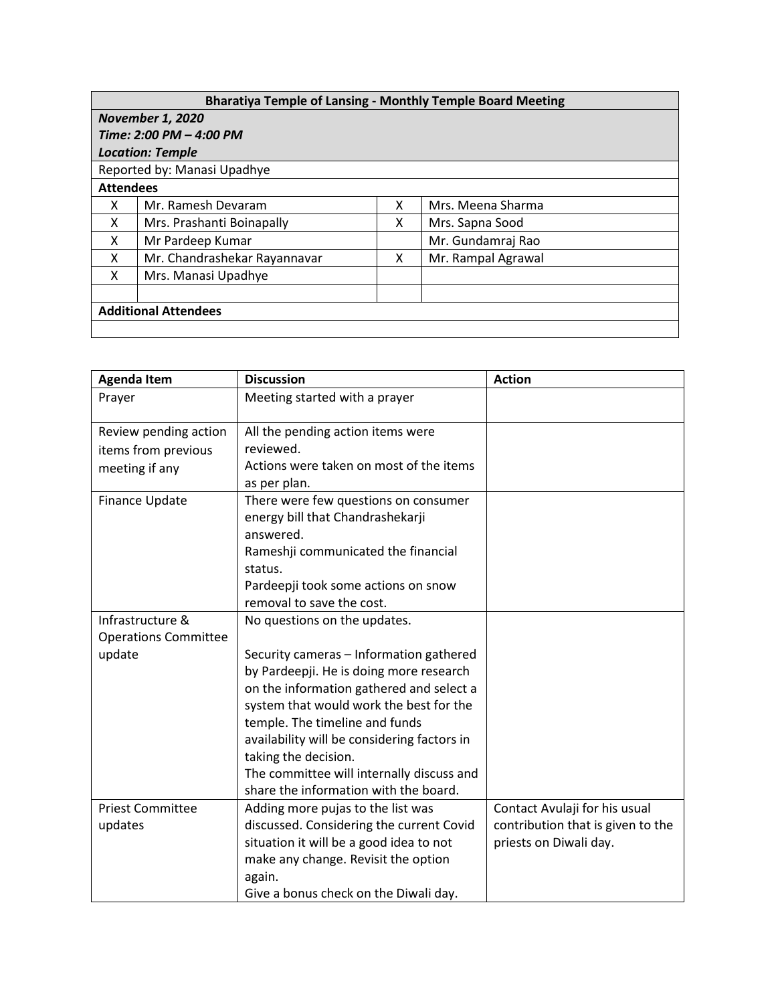| <b>Bharatiya Temple of Lansing - Monthly Temple Board Meeting</b> |                              |   |                    |  |  |  |
|-------------------------------------------------------------------|------------------------------|---|--------------------|--|--|--|
| <b>November 1, 2020</b>                                           |                              |   |                    |  |  |  |
| Time: 2:00 PM - 4:00 PM                                           |                              |   |                    |  |  |  |
| <b>Location: Temple</b>                                           |                              |   |                    |  |  |  |
| Reported by: Manasi Upadhye                                       |                              |   |                    |  |  |  |
| <b>Attendees</b>                                                  |                              |   |                    |  |  |  |
| x                                                                 | Mr. Ramesh Devaram           | x | Mrs. Meena Sharma  |  |  |  |
| x                                                                 | Mrs. Prashanti Boinapally    | x | Mrs. Sapna Sood    |  |  |  |
| x                                                                 | Mr Pardeep Kumar             |   | Mr. Gundamraj Rao  |  |  |  |
| x                                                                 | Mr. Chandrashekar Rayannavar | x | Mr. Rampal Agrawal |  |  |  |
| x                                                                 | Mrs. Manasi Upadhye          |   |                    |  |  |  |
|                                                                   |                              |   |                    |  |  |  |
| <b>Additional Attendees</b>                                       |                              |   |                    |  |  |  |
|                                                                   |                              |   |                    |  |  |  |

| <b>Agenda Item</b>          | <b>Discussion</b>                           | <b>Action</b>                     |
|-----------------------------|---------------------------------------------|-----------------------------------|
| Prayer                      | Meeting started with a prayer               |                                   |
| Review pending action       | All the pending action items were           |                                   |
| items from previous         | reviewed.                                   |                                   |
| meeting if any              | Actions were taken on most of the items     |                                   |
|                             | as per plan.                                |                                   |
| Finance Update              | There were few questions on consumer        |                                   |
|                             | energy bill that Chandrashekarji            |                                   |
|                             | answered.                                   |                                   |
|                             | Rameshji communicated the financial         |                                   |
|                             | status.                                     |                                   |
|                             | Pardeepji took some actions on snow         |                                   |
|                             | removal to save the cost.                   |                                   |
| Infrastructure &            | No questions on the updates.                |                                   |
| <b>Operations Committee</b> |                                             |                                   |
| update                      | Security cameras - Information gathered     |                                   |
|                             | by Pardeepji. He is doing more research     |                                   |
|                             | on the information gathered and select a    |                                   |
|                             | system that would work the best for the     |                                   |
|                             | temple. The timeline and funds              |                                   |
|                             | availability will be considering factors in |                                   |
|                             | taking the decision.                        |                                   |
|                             | The committee will internally discuss and   |                                   |
|                             | share the information with the board.       |                                   |
| <b>Priest Committee</b>     | Adding more pujas to the list was           | Contact Avulaji for his usual     |
| updates                     | discussed. Considering the current Covid    | contribution that is given to the |
|                             | situation it will be a good idea to not     | priests on Diwali day.            |
|                             | make any change. Revisit the option         |                                   |
|                             | again.                                      |                                   |
|                             | Give a bonus check on the Diwali day.       |                                   |